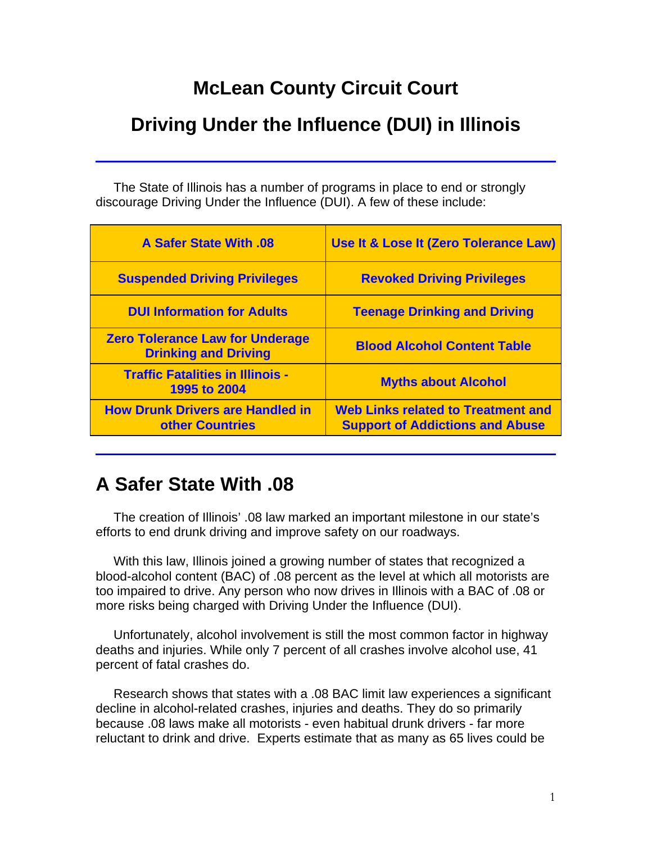# **McLean County Circuit Court**

# **Driving Under the Influence (DUI) in Illinois**

 The State of Illinois has a number of programs in place to end or strongly discourage Driving Under the Influence (DUI). A few of these include:

| <b>A Safer State With .08</b>                                         | Use It & Lose It (Zero Tolerance Law)                                               |
|-----------------------------------------------------------------------|-------------------------------------------------------------------------------------|
| <b>Suspended Driving Privileges</b>                                   | <b>Revoked Driving Privileges</b>                                                   |
| <b>DUI Information for Adults</b>                                     | <b>Teenage Drinking and Driving</b>                                                 |
| <b>Zero Tolerance Law for Underage</b><br><b>Drinking and Driving</b> | <b>Blood Alcohol Content Table</b>                                                  |
| <b>Traffic Fatalities in Illinois -</b><br><b>1995 to 2004</b>        | <b>Myths about Alcohol</b>                                                          |
| <b>How Drunk Drivers are Handled in</b><br>other Countries            | <b>Web Links related to Treatment and</b><br><b>Support of Addictions and Abuse</b> |

# **A Safer State With .08**

 The creation of Illinois' .08 law marked an important milestone in our state's efforts to end drunk driving and improve safety on our roadways.

 With this law, Illinois joined a growing number of states that recognized a blood-alcohol content (BAC) of .08 percent as the level at which all motorists are too impaired to drive. Any person who now drives in Illinois with a BAC of .08 or more risks being charged with Driving Under the Influence (DUI).

 Unfortunately, alcohol involvement is still the most common factor in highway deaths and injuries. While only 7 percent of all crashes involve alcohol use, 41 percent of fatal crashes do.

 Research shows that states with a .08 BAC limit law experiences a significant decline in alcohol-related crashes, injuries and deaths. They do so primarily because .08 laws make all motorists - even habitual drunk drivers - far more reluctant to drink and drive. Experts estimate that as many as 65 lives could be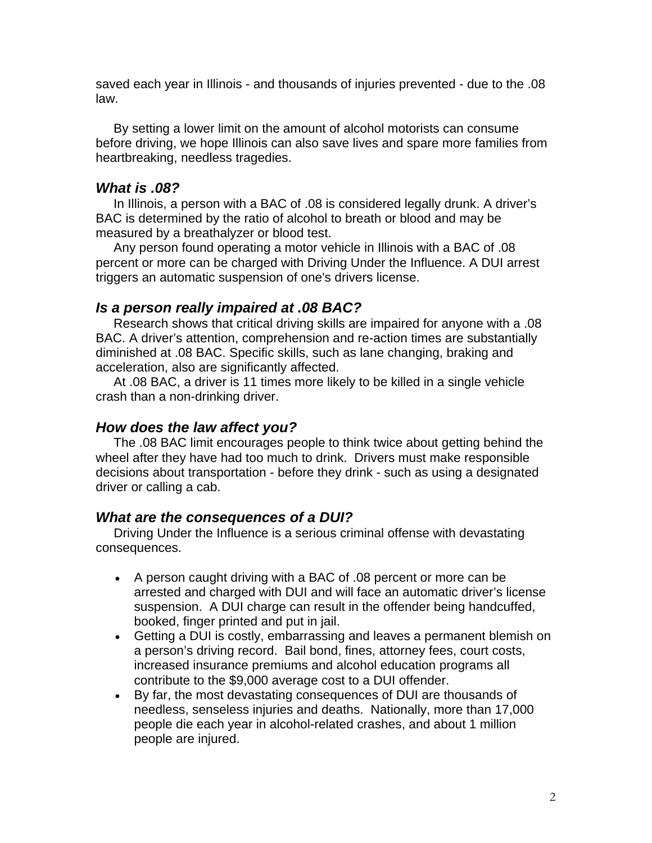saved each year in Illinois - and thousands of injuries prevented - due to the .08 law.

 By setting a lower limit on the amount of alcohol motorists can consume before driving, we hope Illinois can also save lives and spare more families from heartbreaking, needless tragedies.

### *What is .08?*

 In Illinois, a person with a BAC of .08 is considered legally drunk. A driver's BAC is determined by the ratio of alcohol to breath or blood and may be measured by a breathalyzer or blood test.

 Any person found operating a motor vehicle in Illinois with a BAC of .08 percent or more can be charged with Driving Under the Influence. A DUI arrest triggers an automatic suspension of one's drivers license.

#### *Is a person really impaired at .08 BAC?*

 Research shows that critical driving skills are impaired for anyone with a .08 BAC. A driver's attention, comprehension and re-action times are substantially diminished at .08 BAC. Specific skills, such as lane changing, braking and acceleration, also are significantly affected.

 At .08 BAC, a driver is 11 times more likely to be killed in a single vehicle crash than a non-drinking driver.

#### *How does the law affect you?*

 The .08 BAC limit encourages people to think twice about getting behind the wheel after they have had too much to drink. Drivers must make responsible decisions about transportation - before they drink - such as using a designated driver or calling a cab.

#### *What are the consequences of a DUI?*

 Driving Under the Influence is a serious criminal offense with devastating consequences.

- A person caught driving with a BAC of .08 percent or more can be arrested and charged with DUI and will face an automatic driver's license suspension. A DUI charge can result in the offender being handcuffed, booked, finger printed and put in jail.
- Getting a DUI is costly, embarrassing and leaves a permanent blemish on a person's driving record. Bail bond, fines, attorney fees, court costs, increased insurance premiums and alcohol education programs all contribute to the \$9,000 average cost to a DUI offender.
- By far, the most devastating consequences of DUI are thousands of needless, senseless injuries and deaths. Nationally, more than 17,000 people die each year in alcohol-related crashes, and about 1 million people are injured.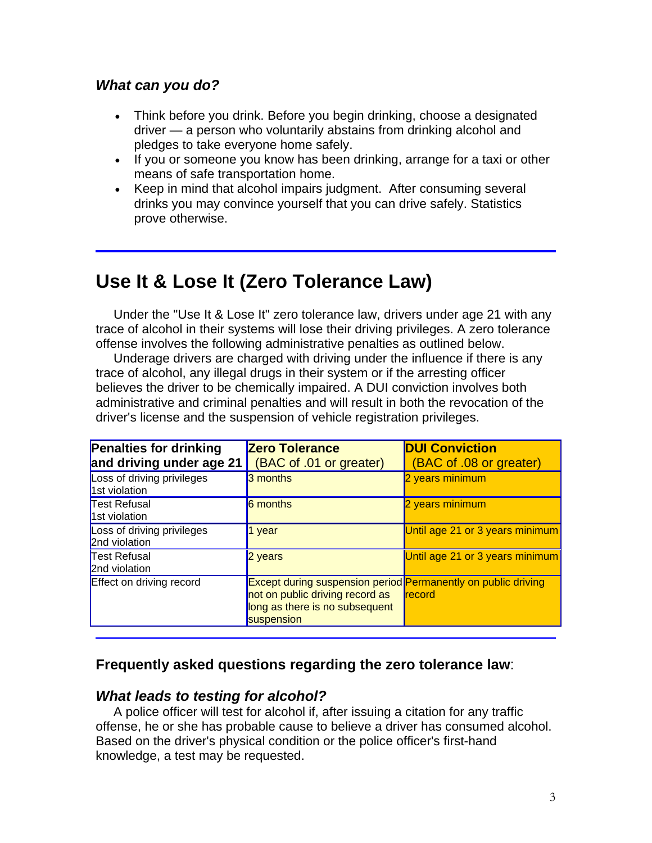### *What can you do?*

- Think before you drink. Before you begin drinking, choose a designated driver — a person who voluntarily abstains from drinking alcohol and pledges to take everyone home safely.
- If you or someone you know has been drinking, arrange for a taxi or other means of safe transportation home.
- Keep in mind that alcohol impairs judgment. After consuming several drinks you may convince yourself that you can drive safely. Statistics prove otherwise.

# **Use It & Lose It (Zero Tolerance Law)**

 Under the "Use It & Lose It" zero tolerance law, drivers under age 21 with any trace of alcohol in their systems will lose their driving privileges. A zero tolerance offense involves the following administrative penalties as outlined below.

 Underage drivers are charged with driving under the influence if there is any trace of alcohol, any illegal drugs in their system or if the arresting officer believes the driver to be chemically impaired. A DUI conviction involves both administrative and criminal penalties and will result in both the revocation of the driver's license and the suspension of vehicle registration privileges.

| <b>Penalties for drinking</b><br>and driving under age 21 | <b>Zero Tolerance</b><br>(BAC of .01 or greater)                                                                                                        | <b>DUI Conviction</b><br>(BAC of .08 or greater) |
|-----------------------------------------------------------|---------------------------------------------------------------------------------------------------------------------------------------------------------|--------------------------------------------------|
| Loss of driving privileges<br>1st violation               | 3 months                                                                                                                                                | 2 years minimum                                  |
| <b>Test Refusal</b><br>1st violation                      | 6 months                                                                                                                                                | 2 years minimum                                  |
| Loss of driving privileges<br>2nd violation               | $1$ year                                                                                                                                                | Until age 21 or 3 years minimum                  |
| <b>Test Refusal</b><br>2nd violation                      | 2 years                                                                                                                                                 | Until age 21 or 3 years minimum                  |
| <b>Effect on driving record</b>                           | <b>Except during suspension period Permanently on public driving</b><br>not on public driving record as<br>long as there is no subsequent<br>suspension | record                                           |

### **Frequently asked questions regarding the zero tolerance law**:

### *What leads to testing for alcohol?*

 A police officer will test for alcohol if, after issuing a citation for any traffic offense, he or she has probable cause to believe a driver has consumed alcohol. Based on the driver's physical condition or the police officer's first-hand knowledge, a test may be requested.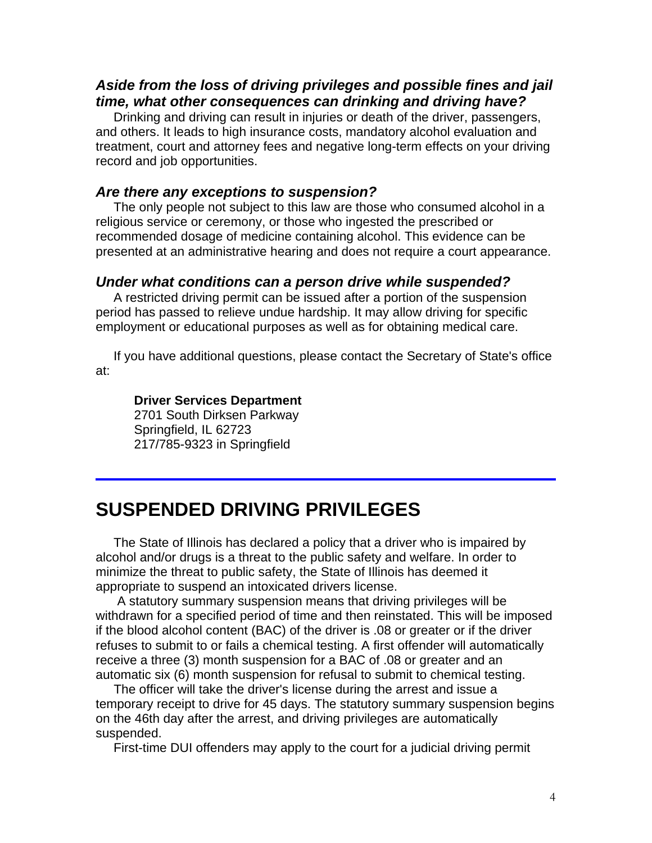## *Aside from the loss of driving privileges and possible fines and jail time, what other consequences can drinking and driving have?*

 Drinking and driving can result in injuries or death of the driver, passengers, and others. It leads to high insurance costs, mandatory alcohol evaluation and treatment, court and attorney fees and negative long-term effects on your driving record and job opportunities.

#### *Are there any exceptions to suspension?*

 The only people not subject to this law are those who consumed alcohol in a religious service or ceremony, or those who ingested the prescribed or recommended dosage of medicine containing alcohol. This evidence can be presented at an administrative hearing and does not require a court appearance.

#### *Under what conditions can a person drive while suspended?*

A restricted driving permit can be issued after a portion of the suspension period has passed to relieve undue hardship. It may allow driving for specific employment or educational purposes as well as for obtaining medical care.

 If you have additional questions, please contact the Secretary of State's office at:

#### **Driver Services Department**

2701 South Dirksen Parkway Springfield, IL 62723 217/785-9323 in Springfield

# **SUSPENDED DRIVING PRIVILEGES**

 The State of Illinois has declared a policy that a driver who is impaired by alcohol and/or drugs is a threat to the public safety and welfare. In order to minimize the threat to public safety, the State of Illinois has deemed it appropriate to suspend an intoxicated drivers license.

 A statutory summary suspension means that driving privileges will be withdrawn for a specified period of time and then reinstated. This will be imposed if the blood alcohol content (BAC) of the driver is .08 or greater or if the driver refuses to submit to or fails a chemical testing. A first offender will automatically receive a three (3) month suspension for a BAC of .08 or greater and an automatic six (6) month suspension for refusal to submit to chemical testing.

 The officer will take the driver's license during the arrest and issue a temporary receipt to drive for 45 days. The statutory summary suspension begins on the 46th day after the arrest, and driving privileges are automatically suspended.

First-time DUI offenders may apply to the court for a judicial driving permit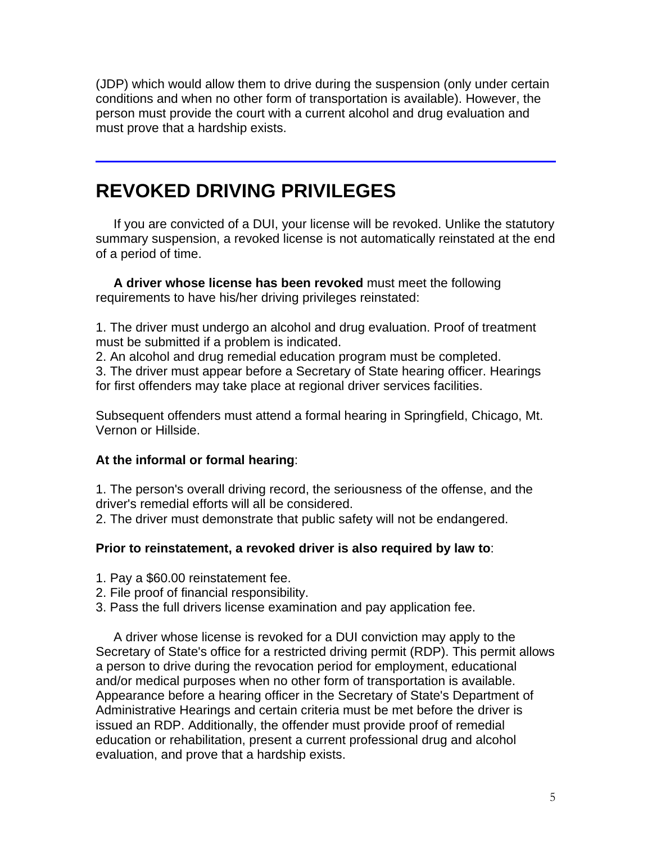(JDP) which would allow them to drive during the suspension (only under certain conditions and when no other form of transportation is available). However, the person must provide the court with a current alcohol and drug evaluation and must prove that a hardship exists.

# **REVOKED DRIVING PRIVILEGES**

 If you are convicted of a DUI, your license will be revoked. Unlike the statutory summary suspension, a revoked license is not automatically reinstated at the end of a period of time.

 **A driver whose license has been revoked** must meet the following requirements to have his/her driving privileges reinstated:

1. The driver must undergo an alcohol and drug evaluation. Proof of treatment must be submitted if a problem is indicated.

2. An alcohol and drug remedial education program must be completed.

3. The driver must appear before a Secretary of State hearing officer. Hearings for first offenders may take place at regional driver services facilities.

Subsequent offenders must attend a formal hearing in Springfield, Chicago, Mt. Vernon or Hillside.

#### **At the informal or formal hearing**:

1. The person's overall driving record, the seriousness of the offense, and the driver's remedial efforts will all be considered.

2. The driver must demonstrate that public safety will not be endangered.

### **Prior to reinstatement, a revoked driver is also required by law to**:

- 1. Pay a \$60.00 reinstatement fee.
- 2. File proof of financial responsibility.
- 3. Pass the full drivers license examination and pay application fee.

 A driver whose license is revoked for a DUI conviction may apply to the Secretary of State's office for a restricted driving permit (RDP). This permit allows a person to drive during the revocation period for employment, educational and/or medical purposes when no other form of transportation is available. Appearance before a hearing officer in the Secretary of State's Department of Administrative Hearings and certain criteria must be met before the driver is issued an RDP. Additionally, the offender must provide proof of remedial education or rehabilitation, present a current professional drug and alcohol evaluation, and prove that a hardship exists.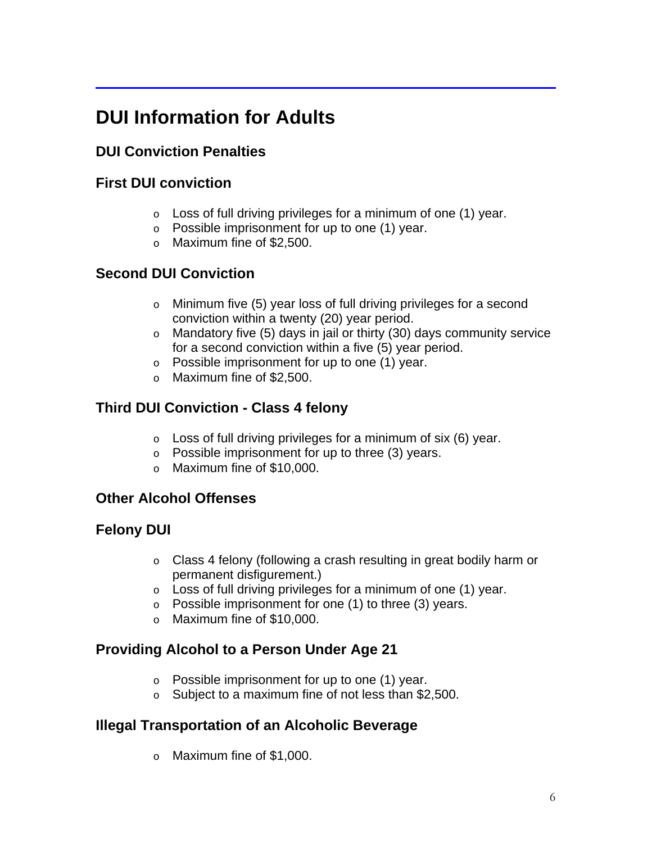# **DUI Information for Adults**

# **DUI Conviction Penalties**

# **First DUI conviction**

- $\circ$  Loss of full driving privileges for a minimum of one (1) year.
- o Possible imprisonment for up to one (1) year.
- o Maximum fine of \$2,500.

# **Second DUI Conviction**

- o Minimum five (5) year loss of full driving privileges for a second conviction within a twenty (20) year period.
- o Mandatory five (5) days in jail or thirty (30) days community service for a second conviction within a five (5) year period.
- o Possible imprisonment for up to one (1) year.
- o Maximum fine of \$2,500.

# **Third DUI Conviction - Class 4 felony**

- $\circ$  Loss of full driving privileges for a minimum of six (6) year.
- $\circ$  Possible imprisonment for up to three (3) years.
- o Maximum fine of \$10,000.

## **Other Alcohol Offenses**

## **Felony DUI**

- o Class 4 felony (following a crash resulting in great bodily harm or permanent disfigurement.)
- $\circ$  Loss of full driving privileges for a minimum of one (1) year.
- o Possible imprisonment for one (1) to three (3) years.
- o Maximum fine of \$10,000.

# **Providing Alcohol to a Person Under Age 21**

- o Possible imprisonment for up to one (1) year.
- o Subject to a maximum fine of not less than \$2,500.

# **Illegal Transportation of an Alcoholic Beverage**

o Maximum fine of \$1,000.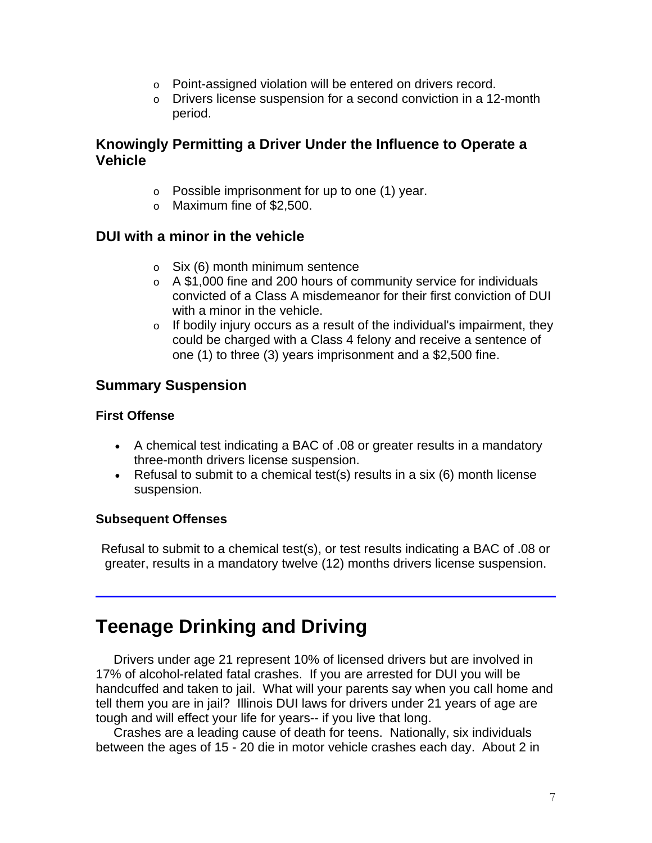- o Point-assigned violation will be entered on drivers record.
- o Drivers license suspension for a second conviction in a 12-month period.

## **Knowingly Permitting a Driver Under the Influence to Operate a Vehicle**

- o Possible imprisonment for up to one (1) year.
- o Maximum fine of \$2,500.

### **DUI with a minor in the vehicle**

- $\circ$  Six (6) month minimum sentence
- o A \$1,000 fine and 200 hours of community service for individuals convicted of a Class A misdemeanor for their first conviction of DUI with a minor in the vehicle.
- $\circ$  If bodily injury occurs as a result of the individual's impairment, they could be charged with a Class 4 felony and receive a sentence of one (1) to three (3) years imprisonment and a \$2,500 fine.

## **Summary Suspension**

#### **First Offense**

- A chemical test indicating a BAC of .08 or greater results in a mandatory three-month drivers license suspension.
- Refusal to submit to a chemical test(s) results in a six (6) month license suspension.

#### **Subsequent Offenses**

Refusal to submit to a chemical test(s), or test results indicating a BAC of .08 or greater, results in a mandatory twelve (12) months drivers license suspension.

# **Teenage Drinking and Driving**

 Drivers under age 21 represent 10% of licensed drivers but are involved in 17% of alcohol-related fatal crashes. If you are arrested for DUI you will be handcuffed and taken to jail. What will your parents say when you call home and tell them you are in jail? Illinois DUI laws for drivers under 21 years of age are tough and will effect your life for years-- if you live that long.

 Crashes are a leading cause of death for teens. Nationally, six individuals between the ages of 15 - 20 die in motor vehicle crashes each day. About 2 in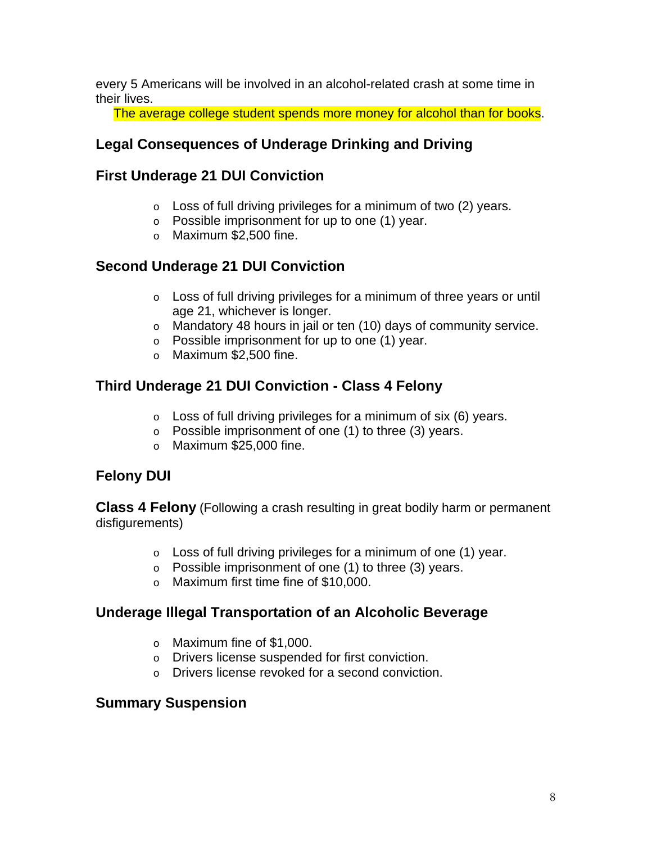every 5 Americans will be involved in an alcohol-related crash at some time in their lives.

The average college student spends more money for alcohol than for books.

# **Legal Consequences of Underage Drinking and Driving**

## **First Underage 21 DUI Conviction**

- $\circ$  Loss of full driving privileges for a minimum of two (2) years.
- o Possible imprisonment for up to one (1) year.
- o Maximum \$2,500 fine.

## **Second Underage 21 DUI Conviction**

- $\circ$  Loss of full driving privileges for a minimum of three years or until age 21, whichever is longer.
- o Mandatory 48 hours in jail or ten (10) days of community service.
- o Possible imprisonment for up to one (1) year.
- o Maximum \$2,500 fine.

## **Third Underage 21 DUI Conviction - Class 4 Felony**

- $\circ$  Loss of full driving privileges for a minimum of six (6) years.
- $\circ$  Possible imprisonment of one (1) to three (3) years.
- o Maximum \$25,000 fine.

# **Felony DUI**

**Class 4 Felony** (Following a crash resulting in great bodily harm or permanent disfigurements)

- $\circ$  Loss of full driving privileges for a minimum of one (1) year.
- $\circ$  Possible imprisonment of one (1) to three (3) years.
- o Maximum first time fine of \$10,000.

### **Underage Illegal Transportation of an Alcoholic Beverage**

- o Maximum fine of \$1,000.
- o Drivers license suspended for first conviction.
- o Drivers license revoked for a second conviction.

### **Summary Suspension**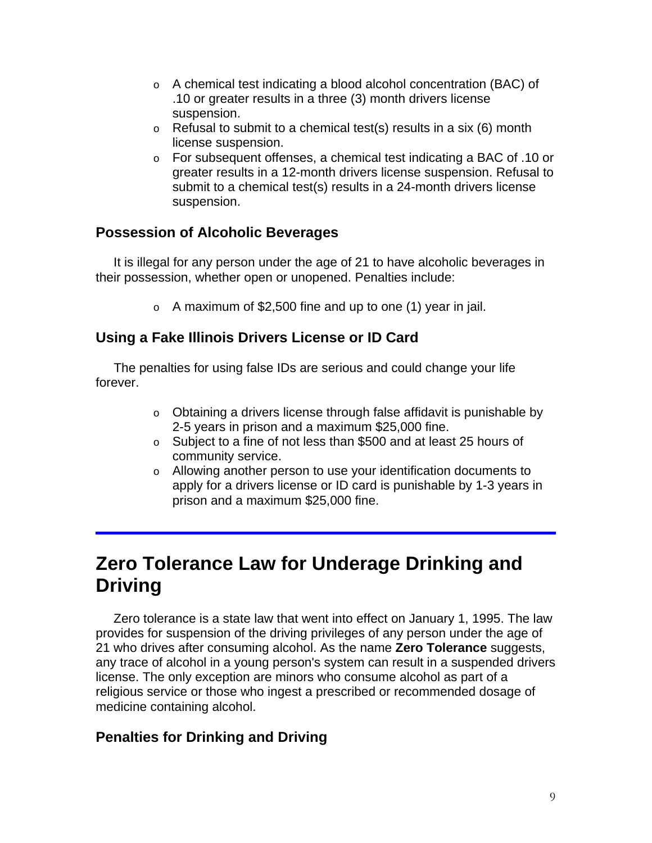- o A chemical test indicating a blood alcohol concentration (BAC) of .10 or greater results in a three (3) month drivers license suspension.
- $\circ$  Refusal to submit to a chemical test(s) results in a six (6) month license suspension.
- o For subsequent offenses, a chemical test indicating a BAC of .10 or greater results in a 12-month drivers license suspension. Refusal to submit to a chemical test(s) results in a 24-month drivers license suspension.

## **Possession of Alcoholic Beverages**

 It is illegal for any person under the age of 21 to have alcoholic beverages in their possession, whether open or unopened. Penalties include:

 $\circ$  A maximum of \$2,500 fine and up to one (1) year in jail.

## **Using a Fake Illinois Drivers License or ID Card**

 The penalties for using false IDs are serious and could change your life forever.

- o Obtaining a drivers license through false affidavit is punishable by 2-5 years in prison and a maximum \$25,000 fine.
- o Subject to a fine of not less than \$500 and at least 25 hours of community service.
- o Allowing another person to use your identification documents to apply for a drivers license or ID card is punishable by 1-3 years in prison and a maximum \$25,000 fine.

# **Zero Tolerance Law for Underage Drinking and Driving**

 Zero tolerance is a state law that went into effect on January 1, 1995. The law provides for suspension of the driving privileges of any person under the age of 21 who drives after consuming alcohol. As the name **Zero Tolerance** suggests, any trace of alcohol in a young person's system can result in a suspended drivers license. The only exception are minors who consume alcohol as part of a religious service or those who ingest a prescribed or recommended dosage of medicine containing alcohol.

## **Penalties for Drinking and Driving**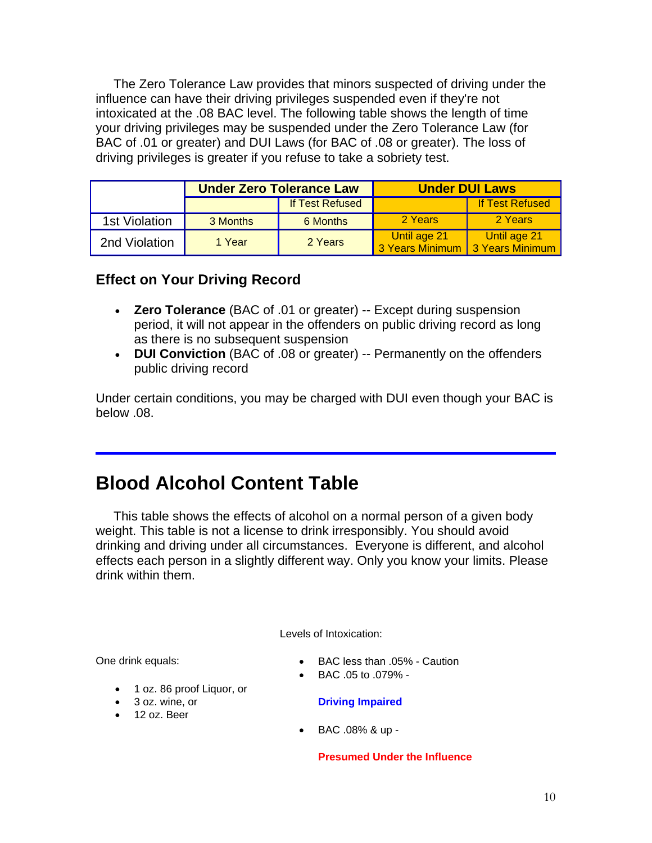The Zero Tolerance Law provides that minors suspected of driving under the influence can have their driving privileges suspended even if they're not intoxicated at the .08 BAC level. The following table shows the length of time your driving privileges may be suspended under the Zero Tolerance Law (for BAC of .01 or greater) and DUI Laws (for BAC of .08 or greater). The loss of driving privileges is greater if you refuse to take a sobriety test.

|               |                        | <b>Under Zero Tolerance Law</b> | <b>Under DUI Laws</b>           |                                 |  |
|---------------|------------------------|---------------------------------|---------------------------------|---------------------------------|--|
|               | <b>If Test Refused</b> |                                 |                                 | <b>If Test Refused</b>          |  |
| 1st Violation | 3 Months               | 6 Months                        | 2 Years                         | 2 Years                         |  |
| 2nd Violation | 1 Year                 | 2 Years                         | Until age 21<br>3 Years Minimum | Until age 21<br>3 Years Minimum |  |

## **Effect on Your Driving Record**

- **Zero Tolerance** (BAC of .01 or greater) -- Except during suspension period, it will not appear in the offenders on public driving record as long as there is no subsequent suspension
- **DUI Conviction** (BAC of .08 or greater) -- Permanently on the offenders public driving record

Under certain conditions, you may be charged with DUI even though your BAC is below .08.

# **Blood Alcohol Content Table**

 This table shows the effects of alcohol on a normal person of a given body weight. This table is not a license to drink irresponsibly. You should avoid drinking and driving under all circumstances. Everyone is different, and alcohol effects each person in a slightly different way. Only you know your limits. Please drink within them.

Levels of Intoxication:

One drink equals:

- 1 oz. 86 proof Liquor, or
- 3 oz. wine, or
- 12 oz. Beer
- BAC less than .05% Caution
- BAC .05 to .079% -

#### **Driving Impaired**

• BAC .08% & up -

#### **Presumed Under the Influence**